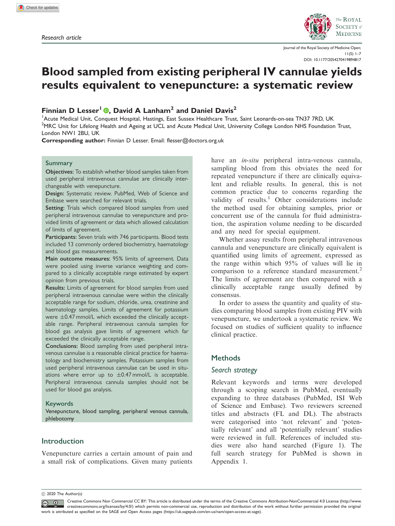

Journal of the Royal Society of Medicine Open;  $11(5)$  1–7 [DOI: 10.1177/2054270419894817](https://doi.org/10.1177/2054270419894817)

# Blood sampled from existing peripheral IV cannulae yields results equivalent to venepuncture: a systematic review

Finnian D Lesser<sup>1</sup> **.** David A Lanham<sup>2</sup> and Daniel Davis<sup>2</sup>

<sup>1</sup> Acute Medical Unit, Conquest Hospital, Hastings, East Sussex Healthcare Trust, Saint Leonards-on-sea TN37 7RD, UK <sup>2</sup>MRC Unit for Lifelong Health and Ageing at UCL and Acute Medical Unit, University College London NHS Foundation Trust, London NW1 2BU, UK

Corresponding author: Finnian D Lesser. Email: flesser@doctors.org.uk

#### Summary

Objectives: To establish whether blood samples taken from used peripheral intravenous cannulae are clinically interchangeable with venepuncture.

Design: Systematic review. PubMed, Web of Science and Embase were searched for relevant trials.

Setting: Trials which compared blood samples from used peripheral intravenous cannulae to venepuncture and provided limits of agreement or data which allowed calculation of limits of agreement.

Participants: Seven trials with 746 participants. Blood tests included 13 commonly ordered biochemistry, haematology and blood gas measurements.

Main outcome measures: 95% limits of agreement. Data were pooled using inverse variance weighting and compared to a clinically acceptable range estimated by expert opinion from previous trials.

Results: Limits of agreement for blood samples from used peripheral intravenous cannulae were within the clinically acceptable range for sodium, chloride, urea, creatinine and haematology samples. Limits of agreement for potassium were  $\pm$ 0.47 mmol/L which exceeded the clinically acceptable range. Peripheral intravenous cannula samples for blood gas analysis gave limits of agreement which far exceeded the clinically acceptable range.

Conclusions: Blood sampling from used peripheral intravenous cannulae is a reasonable clinical practice for haematology and biochemistry samples. Potassium samples from used peripheral intravenous cannulae can be used in situations where error up to  $\pm$ 0.47 mmol/L is acceptable. Peripheral intravenous cannula samples should not be used for blood gas analysis.

#### Keywords

Venepuncture, blood sampling, peripheral venous cannula, phlebotomy

# Introduction

Venepuncture carries a certain amount of pain and a small risk of complications. Given many patients have an in-situ peripheral intra-venous cannula, sampling blood from this obviates the need for repeated venepuncture if there are clinically equivalent and reliable results. In general, this is not common practice due to concerns regarding the validity of results.<sup>1</sup> Other considerations include the method used for obtaining samples, prior or concurrent use of the cannula for fluid administration, the aspiration volume needing to be discarded and any need for special equipment.

Whether assay results from peripheral intravenous cannula and venepuncture are clinically equivalent is quantified using limits of agreement, expressed as the range within which 95% of values will lie in comparison to a reference standard measurement.<sup>2</sup> The limits of agreement are then compared with a clinically acceptable range usually defined by consensus.

In order to assess the quantity and quality of studies comparing blood samples from existing PIV with venepuncture, we undertook a systematic review. We focused on studies of sufficient quality to influence clinical practice.

#### **Methods**

#### Search strategy

Relevant keywords and terms were developed through a scoping search in PubMed, eventually expanding to three databases (PubMed, ISI Web of Science and Embase). Two reviewers screened titles and abstracts (FL and DL). The abstracts were categorised into 'not relevant' and 'potentially relevant' and all 'potentially relevant' studies were reviewed in full. References of included studies were also hand searched (Figure 1). The full search strategy for PubMed is shown in Appendix 1.

 $\circled{c}$  2020 The Author(s)

Creative Commons Non Commercial CC BY: This article is distributed under the terms of the Creative Commons Attribution-NonCommercial 4.0 License ([http://www.](https://orcid.org/0000-0002-8428-4535) [creativecommons.org/licenses/by/4.0/](https://orcid.org/0000-0002-8428-4535)) which permits non-commercial use, reproduction and distribution of the work without further permission provided the original work is attributed as specified on the SAGE and Open Access pages [\(https://uk.sagepub.com/en-us/nam/open-access-at-sage](#page-6-0)).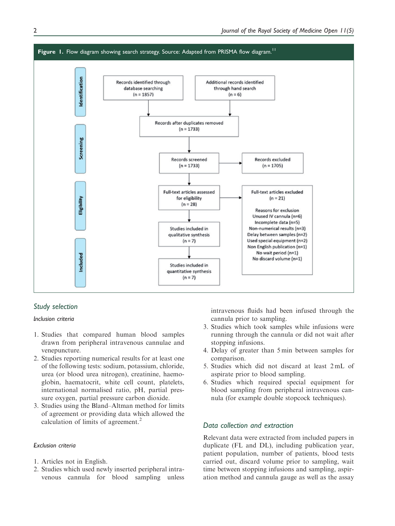

# Study selection

#### Inclusion criteria .

- 1. Studies that compared human blood samples drawn from peripheral intravenous cannulae and venepuncture.
- 2. Studies reporting numerical results for at least one of the following tests: sodium, potassium, chloride, urea (or blood urea nitrogen), creatinine, haemoglobin, haematocrit, white cell count, platelets, international normalised ratio, pH, partial pressure oxygen, partial pressure carbon dioxide.
- 3. Studies using the Bland–Altman method for limits of agreement or providing data which allowed the calculation of limits of agreement.<sup>2</sup>

## Exclusion criteria

- 1. Articles not in English.
- 2. Studies which used newly inserted peripheral intravenous cannula for blood sampling unless

intravenous fluids had been infused through the cannula prior to sampling.

- 3. Studies which took samples while infusions were running through the cannula or did not wait after stopping infusions.
- 4. Delay of greater than 5 min between samples for comparison.
- 5. Studies which did not discard at least 2 mL of aspirate prior to blood sampling.
- 6. Studies which required special equipment for blood sampling from peripheral intravenous cannula (for example double stopcock techniques).

# Data collection and extraction

Relevant data were extracted from included papers in duplicate (FL and DL), including publication year, patient population, number of patients, blood tests carried out, discard volume prior to sampling, wait time between stopping infusions and sampling, aspiration method and cannula gauge as well as the assay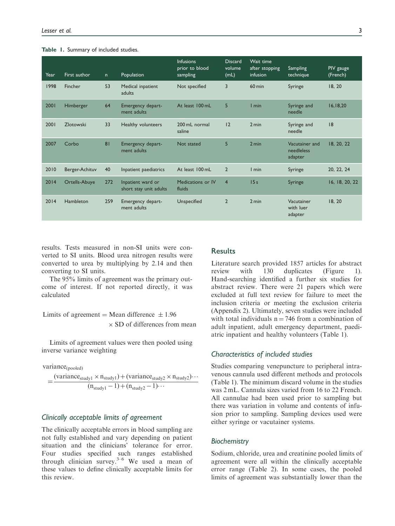#### Table 1. Summary of included studies.

| Year | First author   | n   | Population                                  | <b>Infusions</b><br>prior to blood<br>sampling | <b>Discard</b><br>volume<br>(mL) | Wait time<br>after stopping<br>infusion | <b>Sampling</b><br>technique            | PIV gauge<br>(French) |
|------|----------------|-----|---------------------------------------------|------------------------------------------------|----------------------------------|-----------------------------------------|-----------------------------------------|-----------------------|
| 1998 | Fincher        | 53  | Medical inpatient<br>adults                 | Not specified                                  | 3                                | $60 \text{ min}$                        | Syringe                                 | 18, 20                |
| 2001 | Himberger      | 64  | Emergency depart-<br>ment adults            | At least 100 mL                                | 5                                | I min                                   | Syringe and<br>needle                   | 16, 18, 20            |
| 2001 | Zlotowski      | 33  | Healthy volunteers                          | 200 mL normal<br>saline                        | 12                               | 2 min                                   | Syringe and<br>needle                   | 8                     |
| 2007 | Corbo          | 81  | Emergency depart-<br>ment adults            | Not stated                                     | 5                                | 2 min                                   | Vacutainer and<br>needleless<br>adapter | 18, 20, 22            |
| 2010 | Berger-Achituv | 40  | Inpatient paediatrics                       | At least 100 mL                                | $\overline{2}$                   | $l$ min                                 | Syringe                                 | 20, 22, 24            |
| 2014 | Ortells-Abuye  | 272 | Inpatient ward or<br>short stay unit adults | Medications or IV<br>fluids                    | $\overline{4}$                   | 15s                                     | Syringe                                 | 16, 18, 20, 22        |
| 2014 | Hambleton      | 259 | Emergency depart-<br>ment adults            | Unspecified                                    | $\overline{2}$                   | 2 min                                   | Vacutainer<br>with luer<br>adapter      | 18, 20                |

results. Tests measured in non-SI units were converted to SI units. Blood urea nitrogen results were converted to urea by multiplying by 2.14 and then converting to SI units.

The 95% limits of agreement was the primary outcome of interest. If not reported directly, it was calculated

Limits of agreement = Mean difference  $\pm 1.96$  $\times$  SD of differences from mean

Limits of agreement values were then pooled using inverse variance weighting

variance<sub>(pooled)</sub>

$$
=\frac{(variance_{study1} \times n_{study1}) + (variance_{study2} \times n_{study2}) \cdots}{(n_{study1} - 1) + (n_{study2} - 1) \cdots}
$$

# Clinically acceptable limits of agreement

The clinically acceptable errors in blood sampling are not fully established and vary depending on patient situation and the clinicians' tolerance for error. Four studies specified such ranges established through clinician survey.<sup>3–6</sup> We used a mean of these values to define clinically acceptable limits for this review.

# **Results**

Literature search provided 1857 articles for abstract review with 130 duplicates (Figure 1). Hand-searching identified a further six studies for abstract review. There were 21 papers which were excluded at full text review for failure to meet the inclusion criteria or meeting the exclusion criteria (Appendix 2). Ultimately, seven studies were included with total individuals  $n = 746$  from a combination of adult inpatient, adult emergency department, paediatric inpatient and healthy volunteers (Table 1).

# Characteristics of included studies

Studies comparing venepuncture to peripheral intravenous cannula used different methods and protocols (Table 1). The minimum discard volume in the studies was 2 mL. Cannula sizes varied from 16 to 22 French. All cannulae had been used prior to sampling but there was variation in volume and contents of infusion prior to sampling. Sampling devices used were either syringe or vacutainer systems.

#### **Biochemistry**

Sodium, chloride, urea and creatinine pooled limits of agreement were all within the clinically acceptable error range (Table 2). In some cases, the pooled limits of agreement was substantially lower than the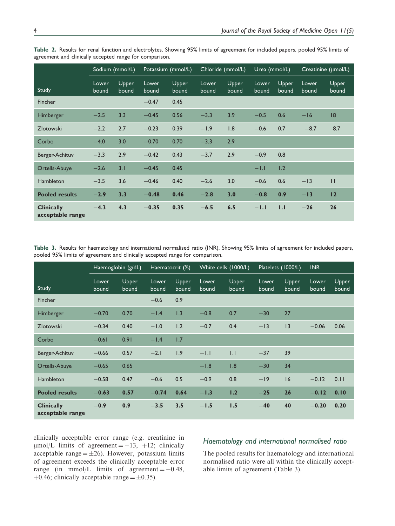|                                       | Sodium (mmol/L) |                | Potassium (mmol/L) |                | Chloride (mmol/L) |                | Urea (mmol/L)  |                       | Creatinine (umol/L) |                |
|---------------------------------------|-----------------|----------------|--------------------|----------------|-------------------|----------------|----------------|-----------------------|---------------------|----------------|
| Study                                 | Lower<br>bound  | Upper<br>bound | Lower<br>bound     | Upper<br>bound | Lower<br>bound    | Upper<br>bound | Lower<br>bound | <b>Upper</b><br>bound | Lower<br>bound      | Upper<br>bound |
| <b>Fincher</b>                        |                 |                | $-0.47$            | 0.45           |                   |                |                |                       |                     |                |
| Himberger                             | $-2.5$          | 3.3            | $-0.45$            | 0.56           | $-3.3$            | 3.9            | $-0.5$         | 0.6                   | $-16$               | 8              |
| Zlotowski                             | $-2.2$          | 2.7            | $-0.23$            | 0.39           | $-1.9$            | 1.8            | $-0.6$         | 0.7                   | $-8.7$              | 8.7            |
| Corbo                                 | $-4.0$          | 3.0            | $-0.70$            | 0.70           | $-3.3$            | 2.9            |                |                       |                     |                |
| Berger-Achituv                        | $-3.3$          | 2.9            | $-0.42$            | 0.43           | $-3.7$            | 2.9            | $-0.9$         | 0.8                   |                     |                |
| Ortells-Abuye                         | $-2.6$          | 3.1            | $-0.45$            | 0.45           |                   |                | $-1.1$         | 1.2                   |                     |                |
| Hambleton                             | $-3.5$          | 3.6            | $-0.46$            | 0.40           | $-2.6$            | 3.0            | $-0.6$         | 0.6                   | $-13$               | $\mathbf{H}$   |
| <b>Pooled results</b>                 | $-2.9$          | 3.3            | $-0.48$            | 0.46           | $-2.8$            | 3.0            | $-0.8$         | 0.9                   | $-13$               | 12             |
| <b>Clinically</b><br>acceptable range | $-4.3$          | 4.3            | $-0.35$            | 0.35           | $-6.5$            | 6.5            | $-1.1$         | 1.1                   | $-26$               | 26             |

Table 2. Results for renal function and electrolytes. Showing 95% limits of agreement for included papers, pooled 95% limits of agreement and clinically accepted range for comparison.

Table 3. Results for haematology and international normalised ratio (INR). Showing 95% limits of agreement for included papers, pooled 95% limits of agreement and clinically accepted range for comparison.

|                                       | Haemoglobin (g/dL) |                | Haematocrit (%) |                | White cells (1000/L) |                | Platelets (1000/L) |                | <b>INR</b>     |                |
|---------------------------------------|--------------------|----------------|-----------------|----------------|----------------------|----------------|--------------------|----------------|----------------|----------------|
| <b>Study</b>                          | Lower<br>bound     | Upper<br>bound | Lower<br>bound  | Upper<br>bound | Lower<br>bound       | Upper<br>bound | Lower<br>bound     | Upper<br>bound | Lower<br>bound | Upper<br>bound |
| <b>Fincher</b>                        |                    |                | $-0.6$          | 0.9            |                      |                |                    |                |                |                |
| Himberger                             | $-0.70$            | 0.70           | $-1.4$          | 1.3            | $-0.8$               | 0.7            | $-30$              | 27             |                |                |
| Zlotowski                             | $-0.34$            | 0.40           | $-1.0$          | 1.2            | $-0.7$               | 0.4            | $-13$              | 3              | $-0.06$        | 0.06           |
| Corbo                                 | $-0.61$            | 0.91           | $-1.4$          | 1.7            |                      |                |                    |                |                |                |
| Berger-Achituv                        | $-0.66$            | 0.57           | $-2.1$          | 1.9            | $-1.1$               | .              | $-37$              | 39             |                |                |
| Ortells-Abuye                         | $-0.65$            | 0.65           |                 |                | $-1.8$               | 1.8            | $-30$              | 34             |                |                |
| <b>Hambleton</b>                      | $-0.58$            | 0.47           | $-0.6$          | 0.5            | $-0.9$               | 0.8            | $-19$              | 16             | $-0.12$        | 0.11           |
| <b>Pooled results</b>                 | $-0.63$            | 0.57           | $-0.74$         | 0.64           | $-1.3$               | 1.2            | $-25$              | 26             | $-0.12$        | 0.10           |
| <b>Clinically</b><br>acceptable range | $-0.9$             | 0.9            | $-3.5$          | 3.5            | $-1.5$               | 1.5            | $-40$              | 40             | $-0.20$        | 0.20           |

clinically acceptable error range (e.g. creatinine in  $\mu$ mol/L limits of agreement = -13, +12; clinically acceptable range  $=\pm 26$ ). However, potassium limits of agreement exceeds the clinically acceptable error range (in mmol/L limits of agreement  $= -0.48$ , +0.46; clinically acceptable range =  $\pm$ 0.35).

# Haematology and international normalised ratio

The pooled results for haematology and international normalised ratio were all within the clinically acceptable limits of agreement (Table 3).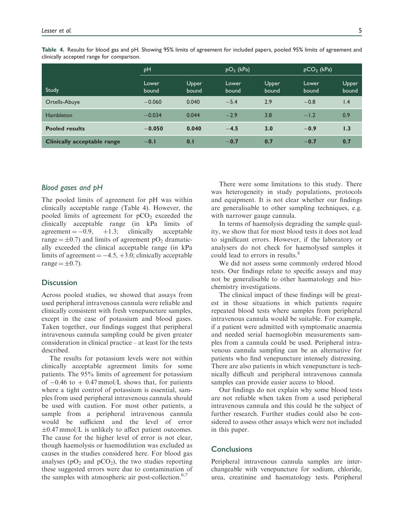|                                    | pH             |                | $pO2$ (kPa)    |                | $pCO2$ (kPa)   |                |
|------------------------------------|----------------|----------------|----------------|----------------|----------------|----------------|
| Study                              | Lower<br>bound | Upper<br>bound | Lower<br>bound | Upper<br>bound | Lower<br>bound | Upper<br>bound |
| Ortells-Abuye                      | $-0.060$       | 0.040          | $-5.4$         | 2.9            | $-0.8$         | 1.4            |
| Hambleton                          | $-0.034$       | 0.044          | $-2.9$         | 3.8            | $-1.2$         | 0.9            |
| <b>Pooled results</b>              | $-0.050$       | 0.040          | $-4.5$         | 3.0            | $-0.9$         | 1.3            |
| <b>Clinically acceptable range</b> | $-0.1$         | 0.1            | $-0.7$         | 0.7            | $-0.7$         | 0.7            |

Table 4. Results for blood gas and pH. Showing 95% limits of agreement for included papers, pooled 95% limits of agreement and clinically accepted range for comparison.

# Blood gases and pH

The pooled limits of agreement for pH was within clinically acceptable range (Table 4). However, the pooled limits of agreement for  $pCO<sub>2</sub>$  exceeded the clinically acceptable range (in kPa limits of  $agreement = -0.9, +1.3; clinically accepted be$ range  $= \pm 0.7$ ) and limits of agreement pO<sub>2</sub> dramatically exceeded the clinical acceptable range (in kPa limits of agreement  $= -4.5, +3.0$ ; clinically acceptable range  $=\pm 0.7$ ).

# **Discussion**

Across pooled studies, we showed that assays from used peripheral intravenous cannula were reliable and clinically consistent with fresh venepuncture samples, except in the case of potassium and blood gases. Taken together, our findings suggest that peripheral intravenous cannula sampling could be given greater consideration in clinical practice – at least for the tests described.

The results for potassium levels were not within clinically acceptable agreement limits for some patients. The 95% limits of agreement for potassium of  $-0.46$  to  $+0.47$  mmol/L shows that, for patients where a tight control of potassium is essential, samples from used peripheral intravenous cannula should be used with caution. For most other patients, a sample from a peripheral intravenous cannula would be sufficient and the level of error  $\pm 0.47$  mmol/L is unlikely to affect patient outcomes. The cause for the higher level of error is not clear, though haemolysis or haemodilution was excluded as causes in the studies considered here. For blood gas analyses ( $pO_2$  and  $pCO_2$ ), the two studies reporting these suggested errors were due to contamination of the samples with atmospheric air post-collection. $6,7$ 

There were some limitations to this study. There was heterogeneity in study populations, protocols and equipment. It is not clear whether our findings are generalisable to other sampling techniques, e.g. with narrower gauge cannula.

In terms of haemolysis degrading the sample quality, we show that for most blood tests it does not lead to significant errors. However, if the laboratory or analysers do not check for haemolysed samples it could lead to errors in results.<sup>8</sup>

We did not assess some commonly ordered blood tests. Our findings relate to specific assays and may not be generalisable to other haematology and biochemistry investigations.

The clinical impact of these findings will be greatest in those situations in which patients require repeated blood tests where samples from peripheral intravenous cannula would be suitable. For example, if a patient were admitted with symptomatic anaemia and needed serial haemoglobin measurements samples from a cannula could be used. Peripheral intravenous cannula sampling can be an alternative for patients who find venepuncture intensely distressing. There are also patients in which venepuncture is technically difficult and peripheral intravenous cannula samples can provide easier access to blood.

Our findings do not explain why some blood tests are not reliable when taken from a used peripheral intravenous cannula and this could be the subject of further research. Further studies could also be considered to assess other assays which were not included in this paper.

## **Conclusions**

Peripheral intravenous cannula samples are interchangeable with venepuncture for sodium, chloride, urea, creatinine and haematology tests. Peripheral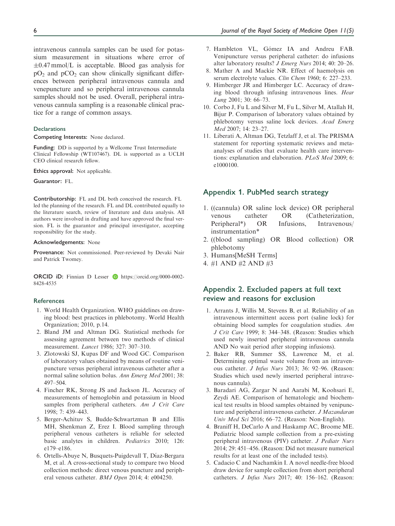intravenous cannula samples can be used for potassium measurement in situations where error of  $\pm 0.47$  mmol/L is acceptable. Blood gas analysis for  $pO_2$  and  $pCO_2$  can show clinically significant differences between peripheral intravenous cannula and venepuncture and so peripheral intravenous cannula samples should not be used. Overall, peripheral intravenous cannula sampling is a reasonable clinical practice for a range of common assays.

#### Declarations

Competing Interests: None declared.

Funding: DD is supported by a Wellcome Trust Intermediate Clinical Fellowship (WT107467). DL is supported as a UCLH CEO clinical research fellow.

Ethics approval: Not applicable.

Guarantor: FL.

Contributorship: FL and DL both conceived the research. FL led the planning of the research. FL and DL contributed equally to the literature search, review of literature and data analysis. All authors were involved in drafting and have approved the final version. FL is the guarantor and principal investigator, accepting responsibility for the study.

#### Acknowledgements: None

Provenance: Not commissioned. Peer-reviewed by Devaki Nair and Patrick Twomey.

ORCID iD: Finnian D Lesser iD [https://orcid.org/0000-0002-](https://orcid.org/0000-0002-8428-4535) [8428-4535](https://orcid.org/0000-0002-8428-4535)

#### **References**

- 1. World Health Organization. WHO guidelines on drawing blood: best practices in phlebotomy. World Health Organization; 2010, p.14.
- 2. Bland JM and Altman DG. Statistical methods for assessing agreement between two methods of clinical measurement. Lancet 1986; 327: 307–310.
- 3. Zlotowski SJ, Kupas DF and Wood GC. Comparison of laboratory values obtained by means of routine venipuncture versus peripheral intravenous catheter after a normal saline solution bolus. Ann Emerg Med 2001; 38: 497–504.
- 4. Fincher RK, Strong JS and Jackson JL. Accuracy of measurements of hemoglobin and potassium in blood samples from peripheral catheters. Am J Crit Care 1998; 7: 439–443.
- 5. Berger-Achituv S, Budde-Schwartzman B and Ellis MH, Shenkman Z, Erez I. Blood sampling through peripheral venous catheters is reliable for selected basic analytes in children. Pediatrics 2010; 126: e179–e186.
- 6. Ortells-Abuye N, Busquets-Puigdevall T, Díaz-Bergara M, et al. A cross-sectional study to compare two blood collection methods: direct venous puncture and peripheral venous catheter. BMJ Open 2014; 4: e004250.
- 7. Hambleton VL, Gómez IA and Andreu FAB. Venipuncture versus peripheral catheter: do infusions alter laboratory results? J Emerg Nurs 2014; 40: 20–26.
- 8. Mather A and Mackie NR. Effect of haemolysis on serum electrolyte values. Clin Chem 1960; 6: 227-233.
- 9. Himberger JR and Himberger LC. Accuracy of drawing blood through infusing intravenous lines. Hear Lung 2001; 30: 66–73.
- 10. Corbo J, Fu L and Silver M, Fu L, Silver M, Atallah H, Bijur P. Comparison of laboratory values obtained by phlebotomy versus saline lock devices. Acad Emerg Med 2007; 14: 23–27.
- 11. Liberati A, Altman DG, Tetzlaff J, et al. The PRISMA statement for reporting systematic reviews and metaanalyses of studies that evaluate health care interventions: explanation and elaboration. PLoS Med 2009; 6: e1000100.

## Appendix 1. PubMed search strategy

- 1. ((cannula) OR saline lock device) OR peripheral venous catheter OR (Catheterization, Peripheral\*) OR Infusions, Intravenous/ instrumentation\*
- 2. ((blood sampling) OR Blood collection) OR phlebotomy
- 3. Humans[MeSH Terms]
- 4. #1 AND #2 AND #3

# Appendix 2. Excluded papers at full text review and reasons for exclusion

- 1. Arrants J, Willis M, Stevens B, et al. Reliability of an intravenous intermittent access port (saline lock) for obtaining blood samples for coagulation studies. Am J Crit Care 1999; 8: 344–348. (Reason: Studies which used newly inserted peripheral intravenous cannula AND No wait period after stopping infusions).
- 2. Baker RB, Summer SS, Lawrence M, et al. Determining optimal waste volume from an intravenous catheter. J Infus Nurs 2013; 36: 92–96. (Reason: Studies which used newly inserted peripheral intravenous cannula).
- 3. Baradari AG, Zargar N and Aarabi M, Koohsari E, Zeydi AE. Comparison of hematologic and biochemical test results in blood samples obtained by venipuncture and peripheral intravenous catheter. J Mazandaran Univ Med Sci 2016; 66–72. (Reason: Non-English).
- 4. Braniff H, DeCarlo A and Haskamp AC, Broome ME. Pediatric blood sample collection from a pre-existing peripheral intravenous (PIV) catheter. J Pediatr Nurs 2014; 29: 451–456. (Reason: Did not measure numerical results for at least one of the included tests).
- 5. Cadacio C and Nachamkin I. A novel needle-free blood draw device for sample collection from short peripheral catheters. J Infus Nurs 2017; 40: 156–162. (Reason: